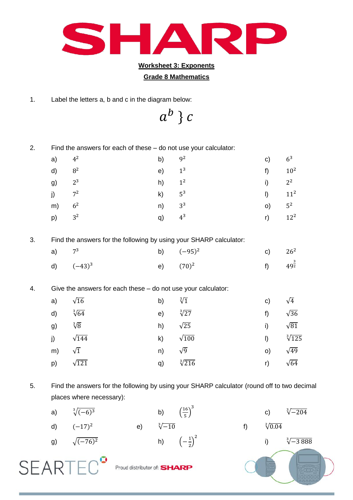

## **Worksheet 3: Exponents**

## **Grade 8 Mathematics**

1. Label the letters a, b and c in the diagram below:

 $a^b$ }

2. Find the answers for each of these – do not use your calculator:

| a) $4^2$   | b) $9^2$   | c) $6^3$             |  |
|------------|------------|----------------------|--|
| d) $8^2$   | e) $1^3$   | f) $10^2$            |  |
| g) $2^3$   | h) $1^2$   | i) $2^2$             |  |
| j) $7^2$   | k) $5^3$   | $11^2$               |  |
| m) $6^2$   | $n)$ $3^3$ | $0)$ $5^2$           |  |
| $p)$ $3^2$ | q) $4^3$   | $r)$ 12 <sup>2</sup> |  |

3. Find the answers for the following by using your SHARP calculator:

| a) $7^3$ |              |             | b) $(-95)^2$ | c) $26^2$             |  |
|----------|--------------|-------------|--------------|-----------------------|--|
|          | d) $(-43)^3$ | e) $(70)^2$ |              | f) $49^{\frac{3}{2}}$ |  |

4. Give the answers for each these – do not use your calculator:

| a) $\sqrt{16}$    |                 | b) $\sqrt[3]{1}$  |                 | c) $\sqrt{4}$  |                    |
|-------------------|-----------------|-------------------|-----------------|----------------|--------------------|
| d) $\sqrt[3]{64}$ |                 | e) $\sqrt[3]{27}$ |                 | f) $\sqrt{36}$ |                    |
| g) $\sqrt[3]{8}$  |                 | h)                | $\sqrt{25}$     | i) $\sqrt{81}$ |                    |
|                   | j) $\sqrt{144}$ |                   | k) $\sqrt{100}$ |                | $1) \frac{3}{125}$ |
| m) $\sqrt{1}$     |                 | n)                | $\sqrt{9}$      | O)             | $\sqrt{49}$        |
|                   | p) $\sqrt{121}$ | q)                | $\sqrt[3]{216}$ | r) $\sqrt{64}$ |                    |

5. Find the answers for the following by using your SHARP calculator (round off to two decimal places where necessary):

| a) | $\sqrt[3]{(-6)^3}$ |                             | b)              | $\left(\frac{16}{5}\right)^3$ | $\mathsf{C}$     | $\sqrt[3]{-204}$  |
|----|--------------------|-----------------------------|-----------------|-------------------------------|------------------|-------------------|
| d) | $(-17)^2$          | $\vert e \rangle$           | $\sqrt[3]{-10}$ |                               | $\sqrt[2]{0.04}$ |                   |
| g) | $\sqrt{(-76)^2}$   |                             | h)              | $\left(-\frac{1}{2}\right)^2$ |                  | $\sqrt[3]{-3888}$ |
|    |                    | Proud distributor of: SHARP |                 |                               |                  |                   |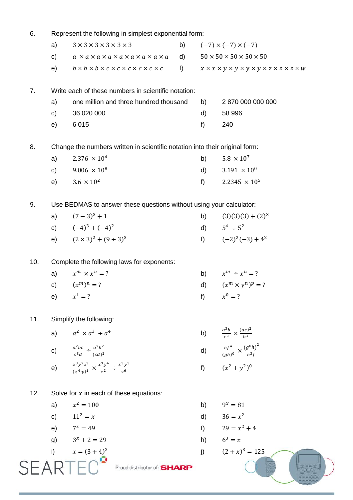| 6.  | Represent the following in simplest exponential form:                       |                                                                                   |              |       |                                                                                      |  |  |  |  |
|-----|-----------------------------------------------------------------------------|-----------------------------------------------------------------------------------|--------------|-------|--------------------------------------------------------------------------------------|--|--|--|--|
|     | a)                                                                          | $3 \times 3 \times 3 \times 3 \times 3 \times 3$                                  | b)           |       | $(-7) \times (-7) \times (-7)$                                                       |  |  |  |  |
|     | c)                                                                          | $a \times a \times a \times a \times a \times a \times a \times a \times a$       | $\mathsf{d}$ |       | $50 \times 50 \times 50 \times 50 \times 50$                                         |  |  |  |  |
|     | e)                                                                          | $b \times b \times b \times c \times c \times c \times c \times c \times c$       | f)           |       | $x \times x \times y \times y \times y \times y \times z \times z \times z \times w$ |  |  |  |  |
| 7.  | Write each of these numbers in scientific notation:                         |                                                                                   |              |       |                                                                                      |  |  |  |  |
|     | a)                                                                          | one million and three hundred thousand                                            |              | b)    | 2 870 000 000 000                                                                    |  |  |  |  |
|     | $\mathsf{c}$                                                                | 36 020 000                                                                        |              | d)    | 58 996                                                                               |  |  |  |  |
|     | e)                                                                          | 6015                                                                              |              | f)    | 240                                                                                  |  |  |  |  |
| 8.  | Change the numbers written in scientific notation into their original form: |                                                                                   |              |       |                                                                                      |  |  |  |  |
|     | a)                                                                          | $2.376 \times 10^{4}$                                                             |              | b)    | $5.8 \times 10^{7}$                                                                  |  |  |  |  |
|     | $\mathsf{c})$                                                               | $9.006 \times 10^8$                                                               |              | d)    | $3.191 \times 10^{0}$                                                                |  |  |  |  |
|     | e)                                                                          | $3.6 \times 10^{2}$                                                               |              | f)    | $2.2345 \times 10^5$                                                                 |  |  |  |  |
| 9.  | Use BEDMAS to answer these questions without using your calculator:         |                                                                                   |              |       |                                                                                      |  |  |  |  |
|     | a)                                                                          | $(7-3)^3+1$                                                                       |              | b)    | $(3)(3)(3) + (2)3$                                                                   |  |  |  |  |
|     |                                                                             | c) $(-4)^3 + (-4)^2$                                                              |              |       | d) $5^4 \div 5^2$                                                                    |  |  |  |  |
|     | e)                                                                          | $(2 \times 3)^2 + (9 \div 3)^3$                                                   |              | $f$ ) | $(-2)^{2}(-3) + 4^{2}$                                                               |  |  |  |  |
| 10. | Complete the following laws for exponents:                                  |                                                                                   |              |       |                                                                                      |  |  |  |  |
|     | a)                                                                          | $x^m \times x^n = ?$                                                              |              |       | b) $x^m \div x^n = ?$                                                                |  |  |  |  |
|     | c)                                                                          | $(x^m)^n = ?$                                                                     |              |       | d) $(x^m \times y^n)^p = ?$                                                          |  |  |  |  |
|     |                                                                             | e) $x^1 = ?$                                                                      |              |       | f) $x^0 = ?$                                                                         |  |  |  |  |
| 11. |                                                                             | Simplify the following:                                                           |              |       |                                                                                      |  |  |  |  |
|     | a)                                                                          | $a^2 \times a^3 \div a^4$                                                         |              |       | b) $\frac{a^3b}{c^2} \times \frac{(ac)^2}{b^3}$                                      |  |  |  |  |
|     |                                                                             | c) $\frac{a^2bc}{c^3d} \div \frac{a^2b^2}{(cd)^2}$                                |              |       | d) $\frac{ef^4}{(ah)^0} \times \frac{(g^0h)^2}{e^3f}$                                |  |  |  |  |
|     |                                                                             | e) $\frac{x^3y^2z^3}{(x^4y)^1} \times \frac{x^3y^4}{z^2} \div \frac{x^5y^5}{z^6}$ |              | $f$ ) | $(x^2 + y^2)^0$                                                                      |  |  |  |  |
| 12. |                                                                             | Solve for $x$ in each of these equations:                                         |              |       |                                                                                      |  |  |  |  |
|     | a)                                                                          | $x^2 = 100$                                                                       |              | b)    | $9^x = 81$                                                                           |  |  |  |  |
|     |                                                                             | c) $11^2 = x$                                                                     |              | d)    | $36 = x^2$                                                                           |  |  |  |  |
|     |                                                                             | e) $7^x = 49$                                                                     |              |       | f) $29 = x^2 + 4$                                                                    |  |  |  |  |
|     | g)                                                                          | $3^x + 2 = 29$                                                                    |              |       | h) $6^3 = x$                                                                         |  |  |  |  |
|     | i)                                                                          | $x = (3 + 4)^2$                                                                   |              | j)    | $(2+x)^3 = 125$                                                                      |  |  |  |  |
| SI  |                                                                             | Proud distributor of: SHARP                                                       |              |       |                                                                                      |  |  |  |  |